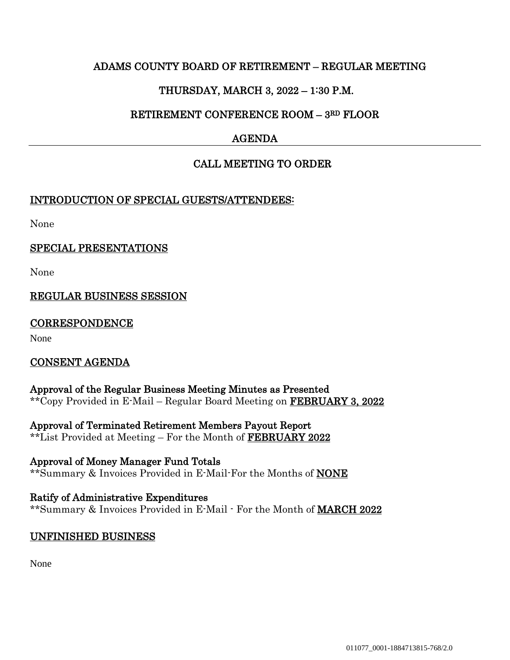# ADAMS COUNTY BOARD OF RETIREMENT – REGULAR MEETING

# THURSDAY, MARCH 3, 2022 – 1:30 P.M.

# RETIREMENT CONFERENCE ROOM – 3RD FLOOR

# AGENDA

# CALL MEETING TO ORDER

### INTRODUCTION OF SPECIAL GUESTS/ATTENDEES:

None

### SPECIAL PRESENTATIONS

None

# REGULAR BUSINESS SESSION

#### **CORRESPONDENCE**

None

#### CONSENT AGENDA

Approval of the Regular Business Meeting Minutes as Presented \*\*Copy Provided in E-Mail – Regular Board Meeting on FEBRUARY 3, 2022

Approval of Terminated Retirement Members Payout Report \*\*List Provided at Meeting – For the Month of FEBRUARY 2022

Approval of Money Manager Fund Totals \*\*Summary & Invoices Provided in E-Mail-For the Months of NONE

Ratify of Administrative Expenditures \*\*Summary & Invoices Provided in E-Mail - For the Month of MARCH 2022

#### UNFINISHED BUSINESS

None